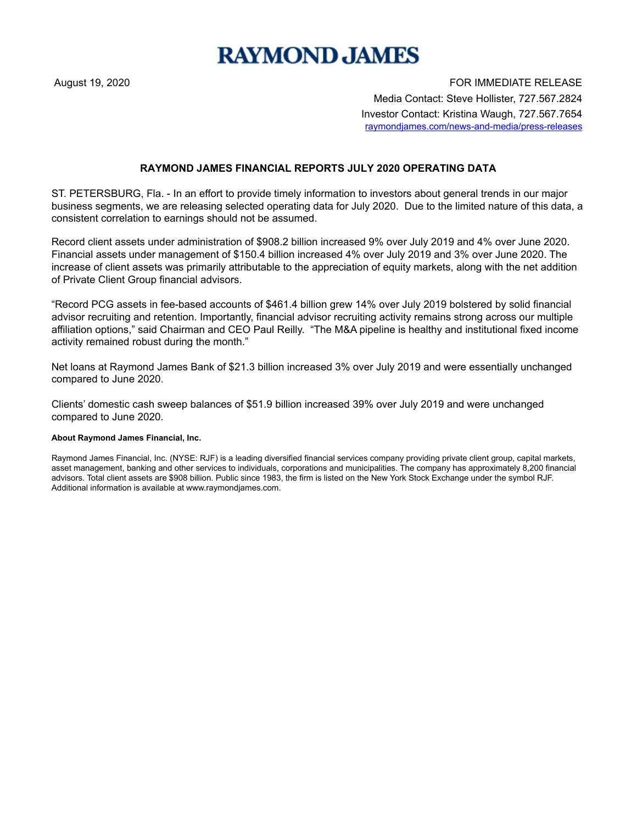## **RAYMOND JAMES**

August 19, 2020 **FOR IMMEDIATE RELEASE** Media Contact: Steve Hollister, 727.567.2824 Investor Contact: Kristina Waugh, 727.567.7654 raymondjames.com/news-and-media/press-releases

## **RAYMOND JAMES FINANCIAL REPORTS JULY 2020 OPERATING DATA**

ST. PETERSBURG, Fla. - In an effort to provide timely information to investors about general trends in our major business segments, we are releasing selected operating data for July 2020. Due to the limited nature of this data, a consistent correlation to earnings should not be assumed.

Record client assets under administration of \$908.2 billion increased 9% over July 2019 and 4% over June 2020. Financial assets under management of \$150.4 billion increased 4% over July 2019 and 3% over June 2020. The increase of client assets was primarily attributable to the appreciation of equity markets, along with the net addition of Private Client Group financial advisors.

"Record PCG assets in fee-based accounts of \$461.4 billion grew 14% over July 2019 bolstered by solid financial advisor recruiting and retention. Importantly, financial advisor recruiting activity remains strong across our multiple affiliation options," said Chairman and CEO Paul Reilly. "The M&A pipeline is healthy and institutional fixed income activity remained robust during the month."

Net loans at Raymond James Bank of \$21.3 billion increased 3% over July 2019 and were essentially unchanged compared to June 2020.

Clients' domestic cash sweep balances of \$51.9 billion increased 39% over July 2019 and were unchanged compared to June 2020.

## **About Raymond James Financial, Inc.**

Raymond James Financial, Inc. (NYSE: RJF) is a leading diversified financial services company providing private client group, capital markets, asset management, banking and other services to individuals, corporations and municipalities. The company has approximately 8,200 financial advisors. Total client assets are \$908 billion. Public since 1983, the firm is listed on the New York Stock Exchange under the symbol RJF. Additional information is available at www.raymondjames.com.